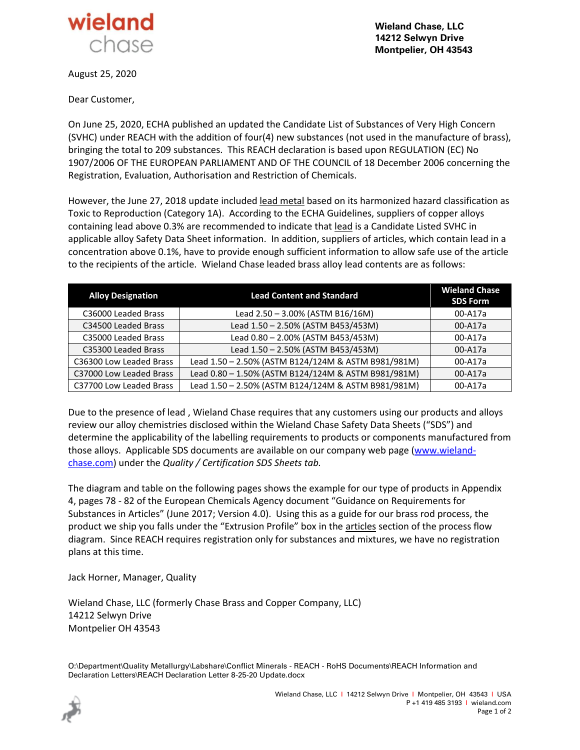

**Wieland Chase, LLC 14212 Selwyn Drive Montpelier, OH 43543**

August 25, 2020

Dear Customer,

On June 25, 2020, ECHA published an updated the Candidate List of Substances of Very High Concern (SVHC) under REACH with the addition of four(4) new substances (not used in the manufacture of brass), bringing the total to 209 substances. This REACH declaration is based upon REGULATION (EC) No 1907/2006 OF THE EUROPEAN PARLIAMENT AND OF THE COUNCIL of 18 December 2006 concerning the Registration, Evaluation, Authorisation and Restriction of Chemicals.

However, the June 27, 2018 update included lead metal based on its harmonized hazard classification as Toxic to Reproduction (Category 1A). According to the ECHA Guidelines, suppliers of copper alloys containing lead above 0.3% are recommended to indicate that lead is a Candidate Listed SVHC in applicable alloy Safety Data Sheet information. In addition, suppliers of articles, which contain lead in a concentration above 0.1%, have to provide enough sufficient information to allow safe use of the article to the recipients of the article. Wieland Chase leaded brass alloy lead contents are as follows:

| <b>Alloy Designation</b> | <b>Lead Content and Standard</b>                    | <b>Wieland Chase</b><br><b>SDS Form</b> |
|--------------------------|-----------------------------------------------------|-----------------------------------------|
| C36000 Leaded Brass      | Lead 2.50 - 3.00% (ASTM B16/16M)                    | 00-A17a                                 |
| C34500 Leaded Brass      | Lead 1.50 - 2.50% (ASTM B453/453M)                  | 00-A17a                                 |
| C35000 Leaded Brass      | Lead 0.80 - 2.00% (ASTM B453/453M)                  | 00-A17a                                 |
| C35300 Leaded Brass      | Lead 1.50 - 2.50% (ASTM B453/453M)                  | 00-A17a                                 |
| C36300 Low Leaded Brass  | Lead 1.50 - 2.50% (ASTM B124/124M & ASTM B981/981M) | 00-A17a                                 |
| C37000 Low Leaded Brass  | Lead 0.80 - 1.50% (ASTM B124/124M & ASTM B981/981M) | 00-A17a                                 |
| C37700 Low Leaded Brass  | Lead 1.50 - 2.50% (ASTM B124/124M & ASTM B981/981M) | 00-A17a                                 |

Due to the presence of lead , Wieland Chase requires that any customers using our products and alloys review our alloy chemistries disclosed within the Wieland Chase Safety Data Sheets ("SDS") and determine the applicability of the labelling requirements to products or components manufactured from those alloys. Applicable SDS documents are available on our company web page [\(www.wieland](http://www.wieland-chase.com/)[chase.com\)](http://www.wieland-chase.com/) under the *Quality / Certification SDS Sheets tab.*

The diagram and table on the following pages shows the example for our type of products in Appendix 4, pages 78 - 82 of the European Chemicals Agency document "Guidance on Requirements for Substances in Articles" (June 2017; Version 4.0). Using this as a guide for our brass rod process, the product we ship you falls under the "Extrusion Profile" box in the articles section of the process flow diagram. Since REACH requires registration only for substances and mixtures, we have no registration plans at this time.

Jack Horner, Manager, Quality

Wieland Chase, LLC (formerly Chase Brass and Copper Company, LLC) 14212 Selwyn Drive Montpelier OH 43543

O:\Department\Quality Metallurgy\Labshare\Conflict Minerals - REACH - RoHS Documents\REACH Information and Declaration Letters\REACH Declaration Letter 8-25-20 Update.docx